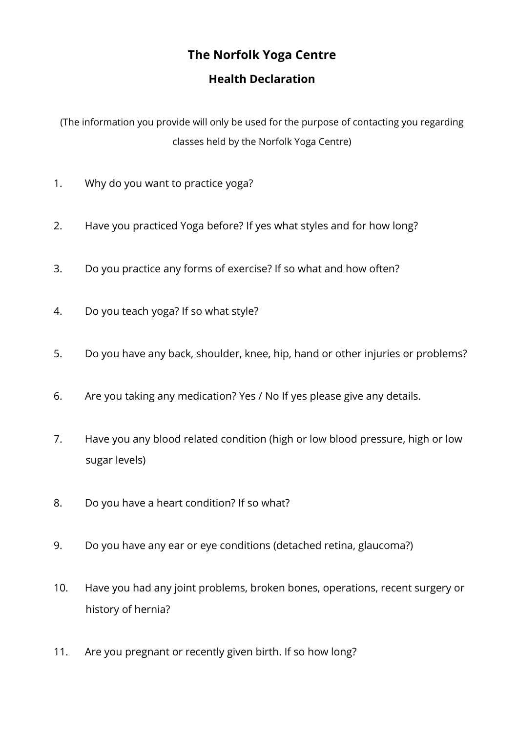## **The Norfolk Yoga Centre**

## **Health Declaration**

(The information you provide will only be used for the purpose of contacting you regarding classes held by the Norfolk Yoga Centre)

- 1. Why do you want to practice yoga?
- 2. Have you practiced Yoga before? If yes what styles and for how long?
- 3. Do you practice any forms of exercise? If so what and how often?
- 4. Do you teach yoga? If so what style?
- 5. Do you have any back, shoulder, knee, hip, hand or other injuries or problems?
- 6. Are you taking any medication? Yes / No If yes please give any details.
- 7. Have you any blood related condition (high or low blood pressure, high or low sugar levels)
- 8. Do you have a heart condition? If so what?
- 9. Do you have any ear or eye conditions (detached retina, glaucoma?)
- 10. Have you had any joint problems, broken bones, operations, recent surgery or history of hernia?
- 11. Are you pregnant or recently given birth. If so how long?